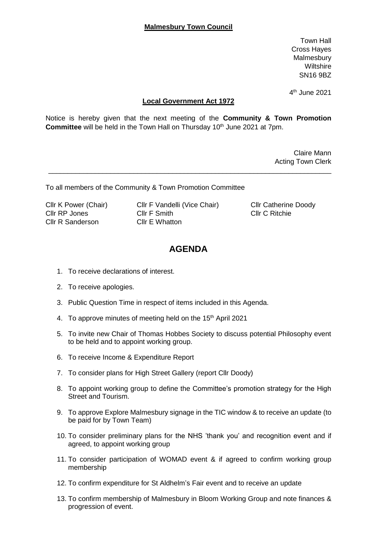Town Hall Cross Hayes Malmesbury **Wiltshire** SN16 9BZ

4 th June 2021

## **Local Government Act 1972**

Notice is hereby given that the next meeting of the **Community & Town Promotion Committee** will be held in the Town Hall on Thursday 10<sup>th</sup> June 2021 at 7pm.

\_\_\_\_\_\_\_\_\_\_\_\_\_\_\_\_\_\_\_\_\_\_\_\_\_\_\_\_\_\_\_\_\_\_\_\_\_\_\_\_\_\_\_\_\_\_\_\_\_\_\_\_\_\_\_\_\_\_\_\_\_\_\_\_\_\_\_\_\_\_\_\_\_

Claire Mann Acting Town Clerk

To all members of the Community & Town Promotion Committee

Cllr R Sanderson Cllr E Whatton

Cllr K Power (Chair) Cllr F Vandelli (Vice Chair) Cllr Catherine Doody Cllr RP Jones Cllr F Smith Cllr C Ritchie

## **AGENDA**

- 1. To receive declarations of interest.
- 2. To receive apologies.
- 3. Public Question Time in respect of items included in this Agenda.
- 4. To approve minutes of meeting held on the 15<sup>th</sup> April 2021
- 5. To invite new Chair of Thomas Hobbes Society to discuss potential Philosophy event to be held and to appoint working group.
- 6. To receive Income & Expenditure Report
- 7. To consider plans for High Street Gallery (report Cllr Doody)
- 8. To appoint working group to define the Committee's promotion strategy for the High Street and Tourism.
- 9. To approve Explore Malmesbury signage in the TIC window & to receive an update (to be paid for by Town Team)
- 10. To consider preliminary plans for the NHS 'thank you' and recognition event and if agreed, to appoint working group
- 11. To consider participation of WOMAD event & if agreed to confirm working group membership
- 12. To confirm expenditure for St Aldhelm's Fair event and to receive an update
- 13. To confirm membership of Malmesbury in Bloom Working Group and note finances & progression of event.